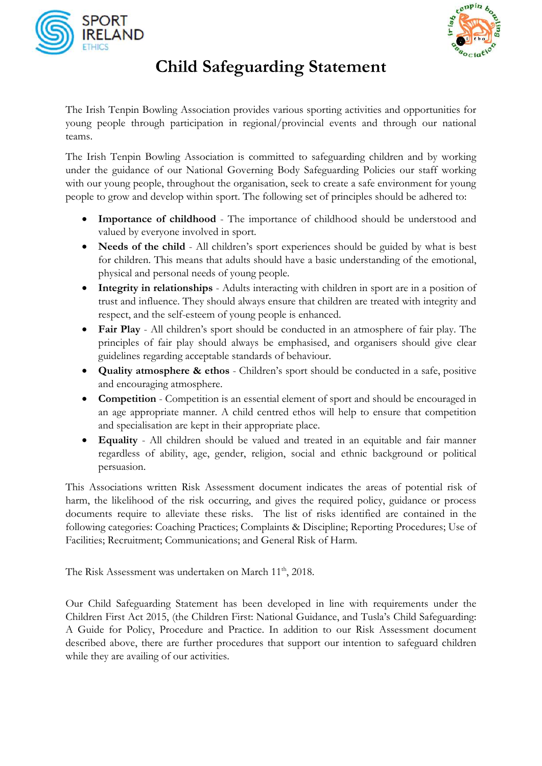



## **Child Safeguarding Statement**

The Irish Tenpin Bowling Association provides various sporting activities and opportunities for young people through participation in regional/provincial events and through our national teams.

The Irish Tenpin Bowling Association is committed to safeguarding children and by working under the guidance of our National Governing Body Safeguarding Policies our staff working with our young people, throughout the organisation, seek to create a safe environment for young people to grow and develop within sport. The following set of principles should be adhered to:

- **Importance of childhood** The importance of childhood should be understood and valued by everyone involved in sport.
- Needs of the child All children's sport experiences should be guided by what is best for children. This means that adults should have a basic understanding of the emotional, physical and personal needs of young people.
- **Integrity in relationships** Adults interacting with children in sport are in a position of trust and influence. They should always ensure that children are treated with integrity and respect, and the self-esteem of young people is enhanced.
- **Fair Play** All children's sport should be conducted in an atmosphere of fair play. The principles of fair play should always be emphasised, and organisers should give clear guidelines regarding acceptable standards of behaviour.
- **Quality atmosphere & ethos** Children's sport should be conducted in a safe, positive and encouraging atmosphere.
- **Competition**  Competition is an essential element of sport and should be encouraged in an age appropriate manner. A child centred ethos will help to ensure that competition and specialisation are kept in their appropriate place.
- **Equality**  All children should be valued and treated in an equitable and fair manner regardless of ability, age, gender, religion, social and ethnic background or political persuasion.

This Associations written Risk Assessment document indicates the areas of potential risk of harm, the likelihood of the risk occurring, and gives the required policy, guidance or process documents require to alleviate these risks. The list of risks identified are contained in the following categories: Coaching Practices; Complaints & Discipline; Reporting Procedures; Use of Facilities; Recruitment; Communications; and General Risk of Harm.

The Risk Assessment was undertaken on March 11<sup>th</sup>, 2018.

Our Child Safeguarding Statement has been developed in line with requirements under the Children First Act 2015, (the Children First: National Guidance, and Tusla's Child Safeguarding: A Guide for Policy, Procedure and Practice. In addition to our Risk Assessment document described above, there are further procedures that support our intention to safeguard children while they are availing of our activities.